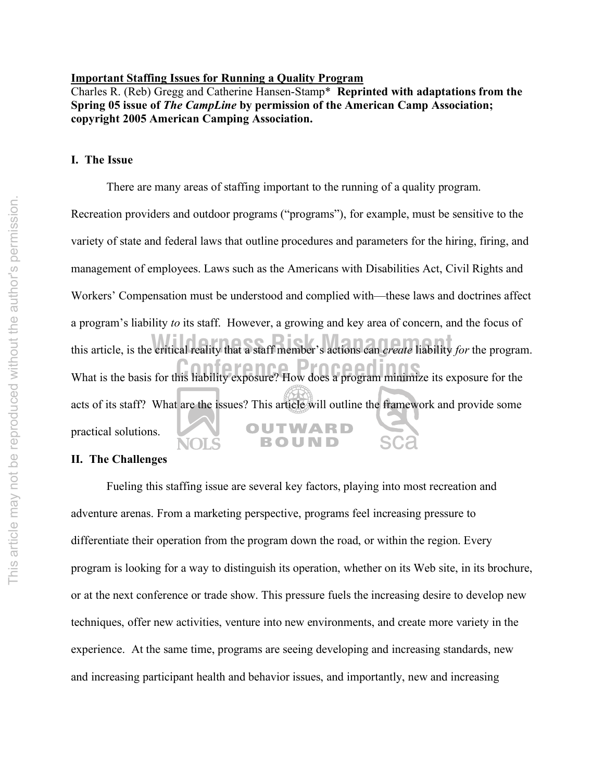#### **Important Staffing Issues for Running a Quality Program**

Charles R. (Reb) Gregg and Catherine Hansen-Stamp\* **Reprinted with adaptations from the Spring 05 issue of** *The CampLine* **by permission of the American Camp Association; copyright 2005 American Camping Association.**

#### **I. The Issue**

There are many areas of staffing important to the running of a quality program.

Recreation providers and outdoor programs ("programs"), for example, must be sensitive to the variety of state and federal laws that outline procedures and parameters for the hiring, firing, and management of employees. Laws such as the Americans with Disabilities Act, Civil Rights and Workers' Compensation must be understood and complied with—these laws and doctrines affect a program's liability *to* its staff. However, a growing and key area of concern, and the focus of this article, is the critical reality that a staff member's actions can *create* liability *for* the program. What is the basis for this liability exposure? How does a program minimize its exposure for the acts of its staff? What are the issues? This article will outline the framework and provide some OUTWARD practical solutions. **BOUND** NOLS

#### **II. The Challenges**

Fueling this staffing issue are several key factors, playing into most recreation and adventure arenas. From a marketing perspective, programs feel increasing pressure to differentiate their operation from the program down the road, or within the region. Every program is looking for a way to distinguish its operation, whether on its Web site, in its brochure, or at the next conference or trade show. This pressure fuels the increasing desire to develop new techniques, offer new activities, venture into new environments, and create more variety in the experience. At the same time, programs are seeing developing and increasing standards, new and increasing participant health and behavior issues, and importantly, new and increasing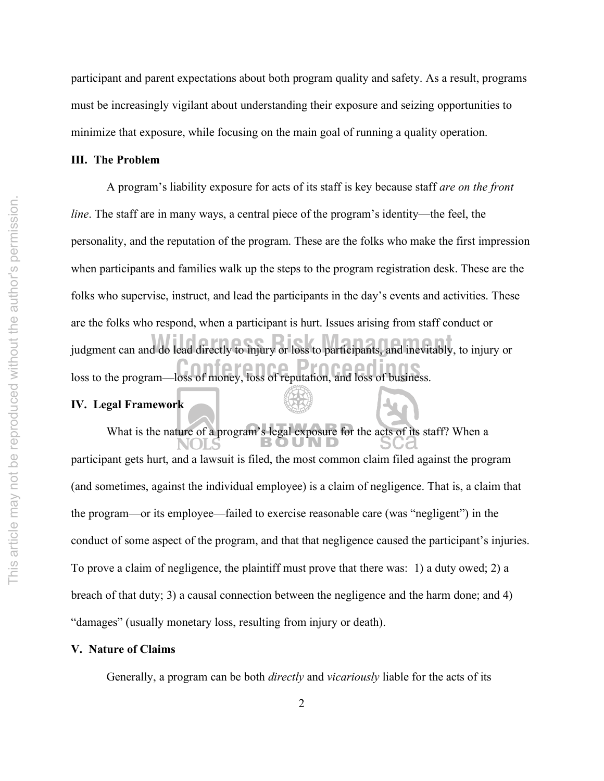participant and parent expectations about both program quality and safety. As a result, programs must be increasingly vigilant about understanding their exposure and seizing opportunities to minimize that exposure, while focusing on the main goal of running a quality operation.

#### **III. The Problem**

loss to the program—loss of money, loss of reputation, and loss of business. **Wilders Communist Communist Management Communist Communist Communist Communist Communist Communist Communist Communist Communist Communist Communist Communist Communist Communist Communist Communist Communist Communist Co** A program's liability exposure for acts of its staff is key because staff *are on the front line*. The staff are in many ways, a central piece of the program's identity—the feel, the personality, and the reputation of the program. These are the folks who make the first impression when participants and families walk up the steps to the program registration desk. These are the folks who supervise, instruct, and lead the participants in the day's events and activities. These are the folks who respond, when a participant is hurt. Issues arising from staff conduct or

# **IV. Legal Framework**

What is the nature of a program's legal exposure for the acts of its staff? When a participant gets hurt, and a lawsuit is filed, the most common claim filed against the program (and sometimes, against the individual employee) is a claim of negligence. That is, a claim that the program—or its employee—failed to exercise reasonable care (was "negligent") in the conduct of some aspect of the program, and that that negligence caused the participant's injuries. To prove a claim of negligence, the plaintiff must prove that there was: 1) a duty owed; 2) a breach of that duty; 3) a causal connection between the negligence and the harm done; and 4) "damages" (usually monetary loss, resulting from injury or death).

# **V. Nature of Claims**

Generally, a program can be both *directly* and *vicariously* liable for the acts of its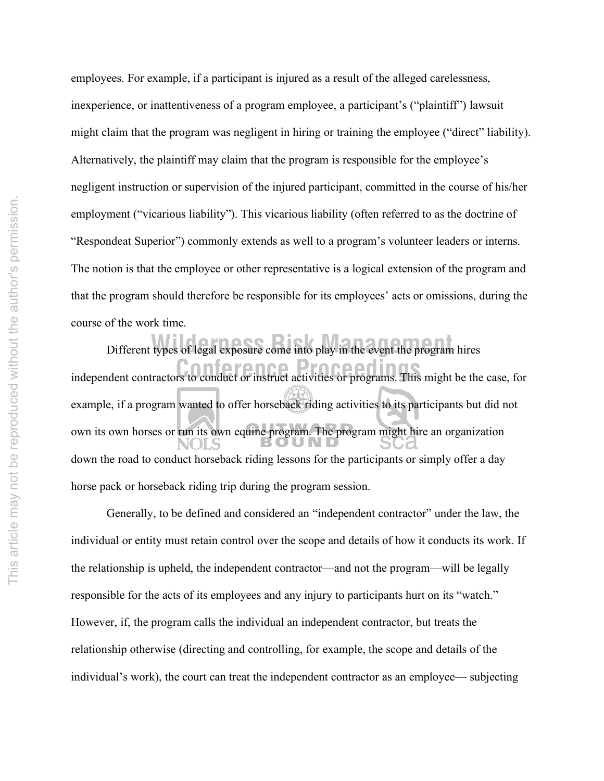employees. For example, if a participant is injured as a result of the alleged carelessness, inexperience, or inattentiveness of a program employee, a participant's ("plaintiff") lawsuit might claim that the program was negligent in hiring or training the employee ("direct" liability). Alternatively, the plaintiff may claim that the program is responsible for the employee's negligent instruction or supervision of the injured participant, committed in the course of his/her employment ("vicarious liability"). This vicarious liability (often referred to as the doctrine of "Respondeat Superior") commonly extends as well to a program's volunteer leaders or interns. The notion is that the employee or other representative is a logical extension of the program and that the program should therefore be responsible for its employees' acts or omissions, during the course of the work time.

**Conference Process** independent contractors to conduct or instruct activities or programs. This might be the case, for **Willems** Different types of legal exposure come into play in the event the program hires example, if a program wanted to offer horseback riding activities to its participants but did not own its own horses or run its own equine program. The program might hire an organization down the road to conduct horseback riding lessons for the participants or simply offer a day horse pack or horseback riding trip during the program session.

Generally, to be defined and considered an "independent contractor" under the law, the individual or entity must retain control over the scope and details of how it conducts its work. If the relationship is upheld, the independent contractor—and not the program—will be legally responsible for the acts of its employees and any injury to participants hurt on its "watch." However, if, the program calls the individual an independent contractor, but treats the relationship otherwise (directing and controlling, for example, the scope and details of the individual's work), the court can treat the independent contractor as an employee— subjecting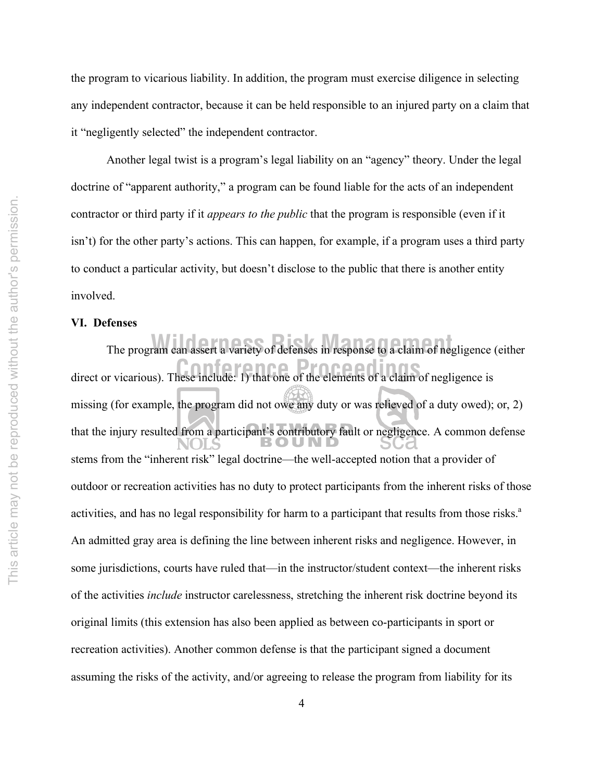the program to vicarious liability. In addition, the program must exercise diligence in selecting any independent contractor, because it can be held responsible to an injured party on a claim that it "negligently selected" the independent contractor.

Another legal twist is a program's legal liability on an "agency" theory. Under the legal doctrine of "apparent authority," a program can be found liable for the acts of an independent contractor or third party if it *appears to the public* that the program is responsible (even if it isn't) for the other party's actions. This can happen, for example, if a program uses a third party to conduct a particular activity, but doesn't disclose to the public that there is another entity involved.

# **VI. Defenses**

direct or vicarious). These include: 1) that one of the elements of a claim of negligence is The program can assert a variety of defenses in response to a claim of negligence (either missing (for example, the program did not owe any duty or was relieved of a duty owed); or, 2) that the injury resulted from a participant's contributory fault or negligence. A common defense stems from the "inherent risk" legal doctrine—the well-accepted notion that a provider of outdoor or recreation activities has no duty to protect participants from the inherent risks of those activities, and has no legal responsibility for harm to a participant that results from those risks.<sup>a</sup> An admitted gray area is defining the line between inherent risks and negligence. However, in some jurisdictions, courts have ruled that—in the instructor/student context—the inherent risks of the activities *include* instructor carelessness, stretching the inherent risk doctrine beyond its original limits (this extension has also been applied as between co-participants in sport or recreation activities). Another common defense is that the participant signed a document assuming the risks of the activity, and/or agreeing to release the program from liability for its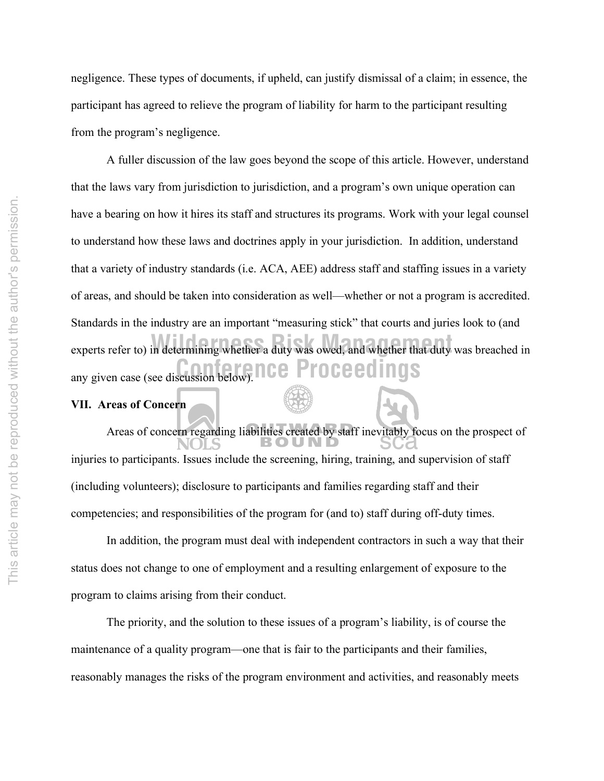negligence. These types of documents, if upheld, can justify dismissal of a claim; in essence, the participant has agreed to relieve the program of liability for harm to the participant resulting from the program's negligence.

any given case (see discussion below). **nce Proceedings** experts refer to) in determining whether a duty was owed, and whether that duty was breached in A fuller discussion of the law goes beyond the scope of this article. However, understand that the laws vary from jurisdiction to jurisdiction, and a program's own unique operation can have a bearing on how it hires its staff and structures its programs. Work with your legal counsel to understand how these laws and doctrines apply in your jurisdiction. In addition, understand that a variety of industry standards (i.e. ACA, AEE) address staff and staffing issues in a variety of areas, and should be taken into consideration as well—whether or not a program is accredited. Standards in the industry are an important "measuring stick" that courts and juries look to (and

# **VII. Areas of Concern**

Areas of concern regarding liabilities created by staff inevitably focus on the prospect of injuries to participants. Issues include the screening, hiring, training, and supervision of staff (including volunteers); disclosure to participants and families regarding staff and their competencies; and responsibilities of the program for (and to) staff during off-duty times.

In addition, the program must deal with independent contractors in such a way that their status does not change to one of employment and a resulting enlargement of exposure to the program to claims arising from their conduct.

The priority, and the solution to these issues of a program's liability, is of course the maintenance of a quality program—one that is fair to the participants and their families, reasonably manages the risks of the program environment and activities, and reasonably meets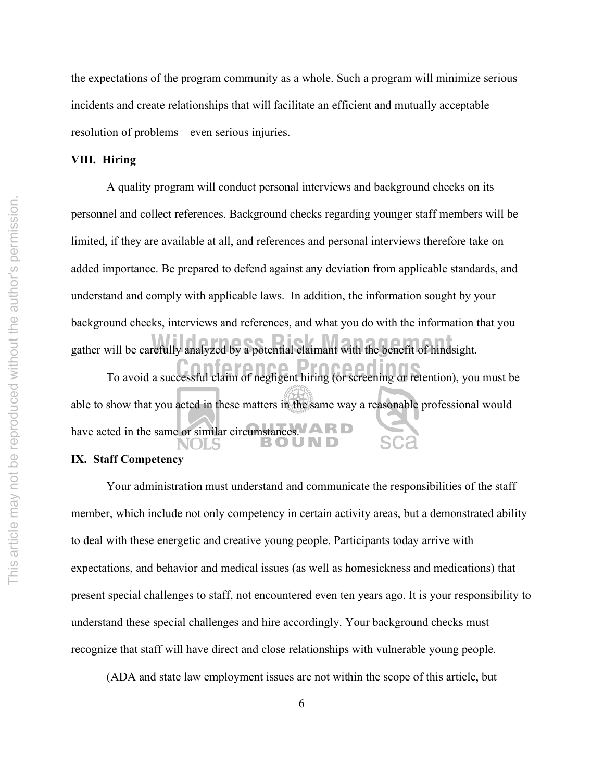the expectations of the program community as a whole. Such a program will minimize serious incidents and create relationships that will facilitate an efficient and mutually acceptable resolution of problems—even serious injuries.

## **VIII. Hiring**

gather will be carefully analyzed by a potential claimant with the benefit of hindsight. A quality program will conduct personal interviews and background checks on its personnel and collect references. Background checks regarding younger staff members will be limited, if they are available at all, and references and personal interviews therefore take on added importance. Be prepared to defend against any deviation from applicable standards, and understand and comply with applicable laws. In addition, the information sought by your background checks, interviews and references, and what you do with the information that you

To avoid a successful claim of negligent hiring (or screening or retention), you must be able to show that you acted in these matters in the same way a reasonable professional would have acted in the same or similar circumstances. A R D

# **IX. Staff Competency**

Your administration must understand and communicate the responsibilities of the staff member, which include not only competency in certain activity areas, but a demonstrated ability to deal with these energetic and creative young people. Participants today arrive with expectations, and behavior and medical issues (as well as homesickness and medications) that present special challenges to staff, not encountered even ten years ago. It is your responsibility to understand these special challenges and hire accordingly. Your background checks must recognize that staff will have direct and close relationships with vulnerable young people.

(ADA and state law employment issues are not within the scope of this article, but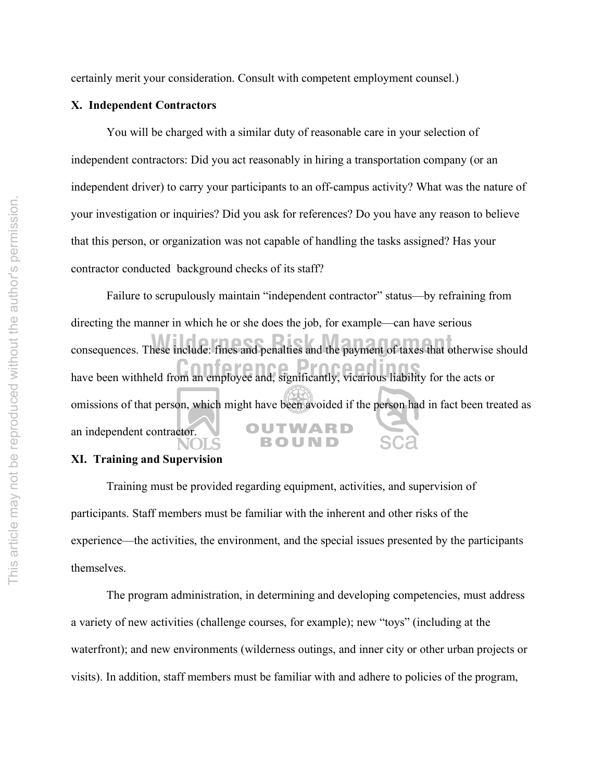certainly merit your consideration. Consult with competent employment counsel.)

#### **X. Independent Contractors**

You will be charged with a similar duty of reasonable care in your selection of independent contractors: Did you act reasonably in hiring a transportation company (or an independent driver) to carry your participants to an off-campus activity? What was the nature of your investigation or inquiries? Did you ask for references? Do you have any reason to believe that this person, or organization was not capable of handling the tasks assigned? Has your contractor conducted background checks of its staff?

Failure to scrupulously maintain "independent contractor" status—by refraining from directing the manner in which he or she does the job, for example—can have serious consequences. These include: fines and penalties and the payment of taxes that otherwise should have been withheld from an employee and, significantly, vicarious liability for the acts or omissions of that person, which might have been avoided if the person had in fact been treated as OUTWARD an independent contractor. ROUND

# **XI. Training and Supervision**

Training must be provided regarding equipment, activities, and supervision of participants. Staff members must be familiar with the inherent and other risks of the experience—the activities, the environment, and the special issues presented by the participants themselves.

The program administration, in determining and developing competencies, must address a variety of new activities (challenge courses, for example); new "toys" (including at the waterfront); and new environments (wilderness outings, and inner city or other urban projects or visits). In addition, staff members must be familiar with and adhere to policies of the program,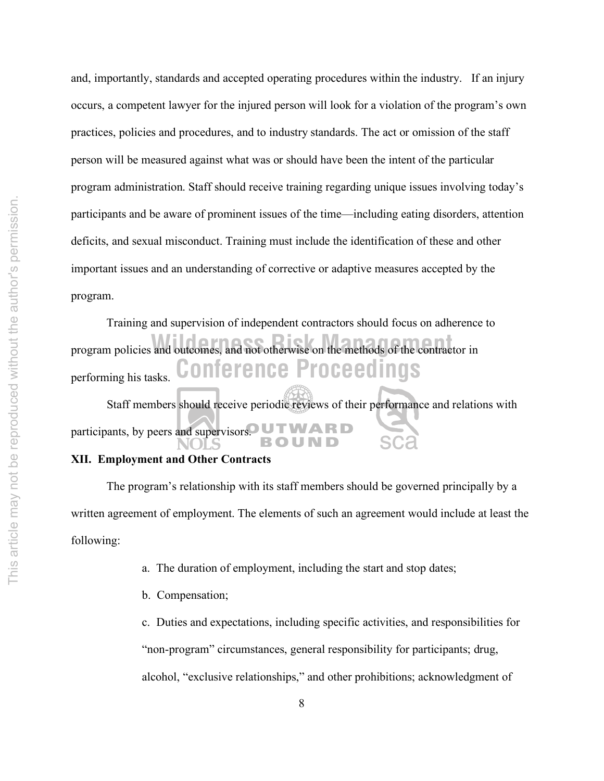and, importantly, standards and accepted operating procedures within the industry. If an injury occurs, a competent lawyer for the injured person will look for a violation of the program's own practices, policies and procedures, and to industry standards. The act or omission of the staff person will be measured against what was or should have been the intent of the particular program administration. Staff should receive training regarding unique issues involving today's participants and be aware of prominent issues of the time—including eating disorders, attention deficits, and sexual misconduct. Training must include the identification of these and other important issues and an understanding of corrective or adaptive measures accepted by the program.

**Conference Proceedings** program policies and outcomes, and not otherwise on the methods of the contractor in Training and supervision of independent contractors should focus on adherence to performing his tasks. Staff members should receive periodic reviews of their performance and relations with

# **XII. Employment and Other Contracts**

The program's relationship with its staff members should be governed principally by a written agreement of employment. The elements of such an agreement would include at least the following:

- a. The duration of employment, including the start and stop dates;
- b. Compensation;

c. Duties and expectations, including specific activities, and responsibilities for "non-program" circumstances, general responsibility for participants; drug, alcohol, "exclusive relationships," and other prohibitions; acknowledgment of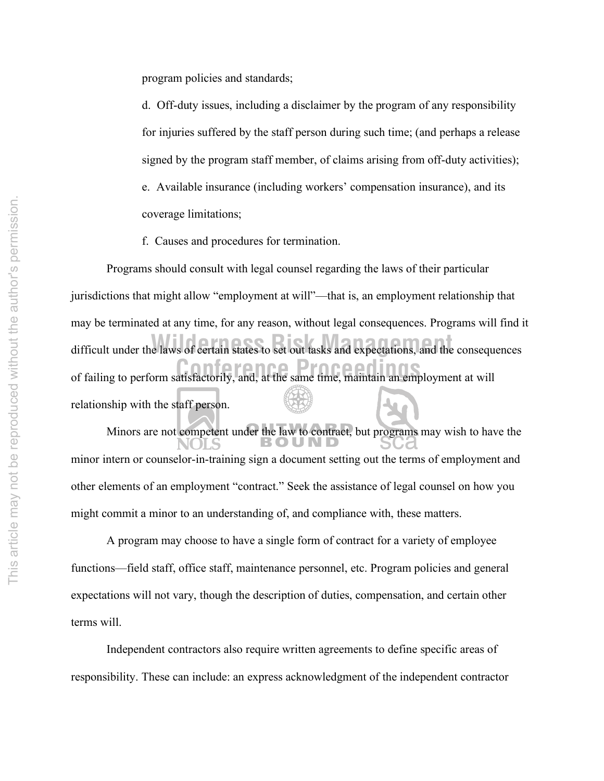program policies and standards;

d. Off-duty issues, including a disclaimer by the program of any responsibility for injuries suffered by the staff person during such time; (and perhaps a release signed by the program staff member, of claims arising from off-duty activities); e. Available insurance (including workers' compensation insurance), and its coverage limitations;

f. Causes and procedures for termination.

of failing to perform satisfactorily, and, at the same time, maintain an employment at will difficult under the laws of certain states to set out tasks and expectations, and the consequences Programs should consult with legal counsel regarding the laws of their particular jurisdictions that might allow "employment at will"—that is, an employment relationship that may be terminated at any time, for any reason, without legal consequences. Programs will find it relationship with the staff person.

Minors are not competent under the law to contract, but programs may wish to have the minor intern or counselor-in-training sign a document setting out the terms of employment and other elements of an employment "contract." Seek the assistance of legal counsel on how you might commit a minor to an understanding of, and compliance with, these matters.

A program may choose to have a single form of contract for a variety of employee functions—field staff, office staff, maintenance personnel, etc. Program policies and general expectations will not vary, though the description of duties, compensation, and certain other terms will.

Independent contractors also require written agreements to define specific areas of responsibility. These can include: an express acknowledgment of the independent contractor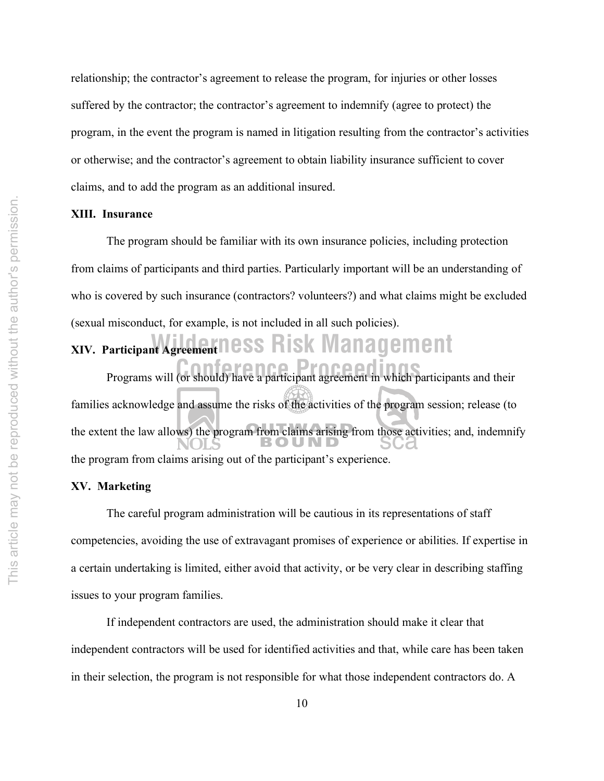relationship; the contractor's agreement to release the program, for injuries or other losses suffered by the contractor; the contractor's agreement to indemnify (agree to protect) the program, in the event the program is named in litigation resulting from the contractor's activities or otherwise; and the contractor's agreement to obtain liability insurance sufficient to cover claims, and to add the program as an additional insured.

#### **XIII. Insurance**

The program should be familiar with its own insurance policies, including protection from claims of participants and third parties. Particularly important will be an understanding of who is covered by such insurance (contractors? volunteers?) and what claims might be excluded (sexual misconduct, for example, is not included in all such policies).

# **Wilderness Risk Management XIV. Participant Agreement**

Programs will (or should) have a participant agreement in which participants and their families acknowledge and assume the risks of the activities of the program session; release (to the extent the law allows) the program from claims arising from those activities; and, indemnify the program from claims arising out of the participant's experience.

#### **XV. Marketing**

The careful program administration will be cautious in its representations of staff competencies, avoiding the use of extravagant promises of experience or abilities. If expertise in a certain undertaking is limited, either avoid that activity, or be very clear in describing staffing issues to your program families.

If independent contractors are used, the administration should make it clear that independent contractors will be used for identified activities and that, while care has been taken in their selection, the program is not responsible for what those independent contractors do. A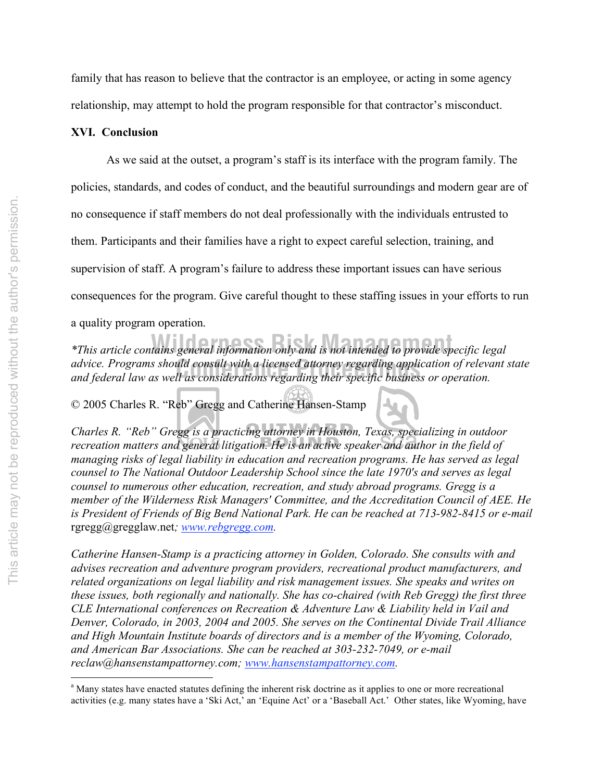family that has reason to believe that the contractor is an employee, or acting in some agency relationship, may attempt to hold the program responsible for that contractor's misconduct.

### **XVI. Conclusion**

As we said at the outset, a program's staff is its interface with the program family. The policies, standards, and codes of conduct, and the beautiful surroundings and modern gear are of no consequence if staff members do not deal professionally with the individuals entrusted to them. Participants and their families have a right to expect careful selection, training, and supervision of staff. A program's failure to address these important issues can have serious consequences for the program. Give careful thought to these staffing issues in your efforts to run a quality program operation.

advice. Programs should consult with a licensed attorney regarding application of releve<br>and federal law as well as considerations regarding their specific business or operation. *\*This article contains general information only and is not intended to provide specific legal advice. Programs should consult with a licensed attorney regarding application of relevant state* 

© 2005 Charles R. "Reb" Gregg and Catherine Hansen-Stamp

*Charles R. "Reb" Gregg is a practicing attorney in Houston, Texas, specializing in outdoor recreation matters and general litigation. He is an active speaker and author in the field of managing risks of legal liability in education and recreation programs. He has served as legal counsel to The National Outdoor Leadership School since the late 1970's and serves as legal counsel to numerous other education, recreation, and study abroad programs. Gregg is a member of the Wilderness Risk Managers' Committee, and the Accreditation Council of AEE. He is President of Friends of Big Bend National Park. He can be reached at 713-982-8415 or e-mail*  rgregg@gregglaw.net*; www.rebgregg.com.*

*Catherine Hansen-Stamp is a practicing attorney in Golden, Colorado. She consults with and advises recreation and adventure program providers, recreational product manufacturers, and related organizations on legal liability and risk management issues. She speaks and writes on these issues, both regionally and nationally. She has co-chaired (with Reb Gregg) the first three CLE International conferences on Recreation & Adventure Law & Liability held in Vail and Denver, Colorado, in 2003, 2004 and 2005. She serves on the Continental Divide Trail Alliance and High Mountain Institute boards of directors and is a member of the Wyoming, Colorado, and American Bar Associations. She can be reached at 303-232-7049, or e-mail reclaw@hansenstampattorney.com; www.hansenstampattorney.com.*

<sup>|&</sup>lt;br>a <sup>a</sup> Many states have enacted statutes defining the inherent risk doctrine as it applies to one or more recreational activities (e.g. many states have a 'Ski Act,' an 'Equine Act' or a 'Baseball Act.' Other states, like Wyoming, have